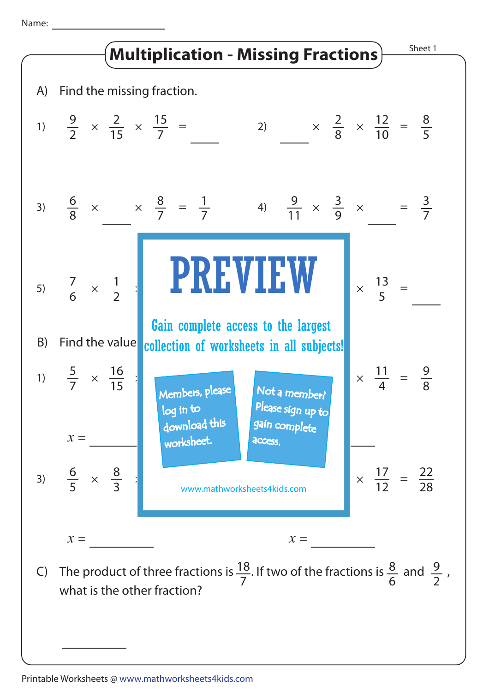